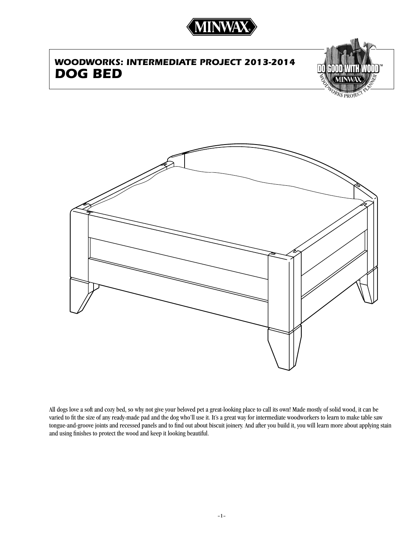

## *WOODWORKS: Intermediate project 2013-2014 Dog Bed*



**RKS PROV** 



All dogs love a soft and cozy bed, so why not give your beloved pet a great-looking place to call its own! Made mostly of solid wood, it can be varied to fit the size of any ready-made pad and the dog who'll use it. It's a great way for intermediate woodworkers to learn to make table saw tongue-and-groove joints and recessed panels and to find out about biscuit joinery. And after you build it, you will learn more about applying stain and using finishes to protect the wood and keep it looking beautiful.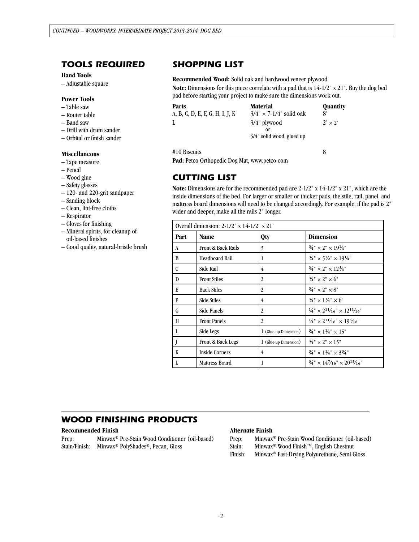## *tools required*

#### **Hand Tools**

– Adjustable square

#### **Power Tools**

- Table saw
- Router table
- Band saw
- Drill with drum sander
- Orbital or finish sander

#### **Miscellaneous**

- Tape measure
- Pencil
- Wood glue
- Safety glasses
- 120- and 220-grit sandpaper
- Sanding block
- Clean, lint-free cloths
- Respirator
- Gloves for finishing
- Mineral spirits, for cleanup of oil-based finishes
- Good quality, natural-bristle brush

### *SHOPPING LIST*

#### **Recommended Wood:** Solid oak and hardwood veneer plywood

**Note:** Dimensions for this piece correlate with a pad that is 14-1/2" x 21". Buy the dog bed pad before starting your project to make sure the dimensions work out.

| Parts<br>A, B, C, D, E, F, G, H, I, J, K | <b>Material</b><br>$3/4" \times 7-1/4"$ solid oak  | Quantity<br>8' |
|------------------------------------------|----------------------------------------------------|----------------|
|                                          | 3/4" plywood<br>or<br>$3/4$ " solid wood, glued up | $2' \times 2'$ |
| #10 Biscuits                             |                                                    | 8              |

**Pad:** Petco Orthopedic Dog Mat, www.petco.com

### *cutting list*

**Note:** Dimensions are for the recommended pad are 2-1/2" x 14-1/2" x 21", which are the inside dimensions of the bed. For larger or smaller or thicker pads, the stile, rail, panel, and mattress board dimensions will need to be changed accordingly. For example, if the pad is 2" wider and deeper, make all the rails 2" longer.

| Overall dimension: $2-1/2$ " x $14-1/2$ " x $21$ " |                       |                       |                                                                 |  |
|----------------------------------------------------|-----------------------|-----------------------|-----------------------------------------------------------------|--|
| Part                                               | <b>Name</b>           | Qty                   | <b>Dimension</b>                                                |  |
| A                                                  | Front & Back Rails    | 3                     | $\frac{3}{4}$ " × 2" × 19 $\frac{1}{4}$ "                       |  |
| B                                                  | Headboard Rail        | 1                     | $\frac{3}{4}$ " × 5 $\frac{1}{2}$ " × 19 $\frac{1}{4}$ "        |  |
| C                                                  | Side Rail             | 4                     | $\frac{3}{4}$ " × 2" × 12 $\frac{3}{4}$ "                       |  |
| D                                                  | <b>Front Stiles</b>   | 2                     | $3/4$ " $\times$ 2" $\times$ 6"                                 |  |
| E                                                  | <b>Back Stiles</b>    | 2                     | $3/4$ " $\times$ 2" $\times$ 8"                                 |  |
| F                                                  | <b>Side Stiles</b>    | 4                     | $\frac{3}{4}$ " × 1 $\frac{1}{4}$ " × 6"                        |  |
| G                                                  | Side Panels           | 2                     | $\frac{1}{4}$ " × $2^{11}/16$ " × $12^{11}/16$ "                |  |
| H                                                  | <b>Front Panels</b>   | 2                     | $\frac{1}{4}$ " × $\frac{2^{11}}{16}$ " × $\frac{19^{3}}{16}$ " |  |
| L                                                  | Side Legs             | 1 (Glue-up Dimension) | $\frac{3}{4}$ " × 1½" × 15"                                     |  |
|                                                    | Front & Back Legs     | 1 (Glue-up Dimension) | $\frac{3}{4}$ " × 2" × 15"                                      |  |
| K                                                  | <b>Inside Corners</b> | 4                     | $\frac{3}{4}$ " × 1 $\frac{1}{4}$ " × 3 $\frac{3}{4}$ "         |  |
| L                                                  | <b>Mattress Board</b> | 1                     | $\frac{3}{4}$ " × 14 <sup>7</sup> /16" × 20 <sup>15</sup> /16"  |  |

## *WOOD FINISHING PRODUCTS*

#### **Recommended Finish**

Prep: Minwax® Pre-Stain Wood Conditioner (oil-based) Stain/Finish: Minwax® PolyShades®, Pecan, Gloss

#### **Alternate Finish**

- Prep: Minwax® Pre-Stain Wood Conditioner (oil-based)
- Stain: Minwax® Wood Finish™, English Chestnut
- Finish: Minwax® Fast-Drying Polyurethane, Semi Gloss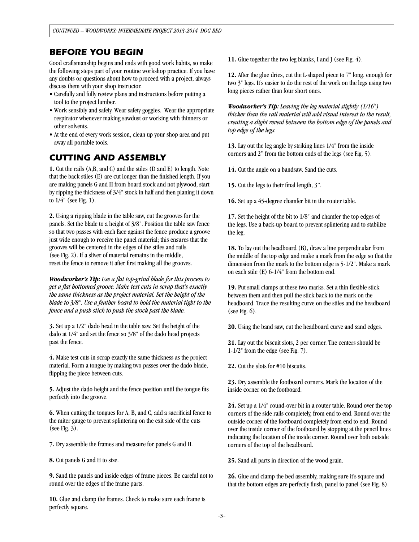### *BEFORE YOU BEGIN*

Good craftsmanship begins and ends with good work habits, so make the following steps part of your routine workshop practice. If you have any doubts or questions about how to proceed with a project, always discuss them with your shop instructor.

- Carefully and fully review plans and instructions before putting a tool to the project lumber.
- Work sensibly and safely. Wear safety goggles. Wear the appropriate respirator whenever making sawdust or working with thinners or other solvents.
- At the end of every work session, clean up your shop area and put away all portable tools.

## *CUTTING AND ASSEMBLY*

**1.** Cut the rails (A,B, and C) and the stiles (D and E) to length. Note that the back stiles (E) are cut longer than the finished length. If you are making panels G and H from board stock and not plywood, start by ripping the thickness of 3/4" stock in half and then planing it down to 1/4" (see Fig. 1).

**2.** Using a ripping blade in the table saw, cut the grooves for the panels. Set the blade to a height of 3/8". Position the table saw fence so that two passes with each face against the fence produce a groove just wide enough to receive the panel material; this ensures that the grooves will be centered in the edges of the stiles and rails (see Fig. 2). If a sliver of material remains in the middle, reset the fence to remove it after first making all the grooves.

*Woodworker's Tip: Use a flat top-grind blade for this process to get a flat bottomed groove. Make test cuts in scrap that's exactly the same thickness as the project material. Set the height of the blade to 3/8". Use a feather board to hold the material tight to the fence and a push stick to push the stock past the blade.* 

**3.** Set up a 1/2" dado head in the table saw. Set the height of the dado at 1/4" and set the fence so 3/8" of the dado head projects past the fence.

**4.** Make test cuts in scrap exactly the same thickness as the project material. Form a tongue by making two passes over the dado blade, flipping the piece between cuts.

**5.** Adjust the dado height and the fence position until the tongue fits perfectly into the groove.

**6.** When cutting the tongues for A, B, and C, add a sacrificial fence to the miter gauge to prevent splintering on the exit side of the cuts (see Fig. 3).

**7.** Dry assemble the frames and measure for panels G and H.

**8.** Cut panels G and H to size.

**9.** Sand the panels and inside edges of frame pieces. Be careful not to round over the edges of the frame parts.

**10.** Glue and clamp the frames. Check to make sure each frame is perfectly square.

**11.** Glue together the two leg blanks, I and J (see Fig. 4).

**12.** After the glue dries, cut the L-shaped piece to 7" long, enough for two 3" legs. It's easier to do the rest of the work on the legs using two long pieces rather than four short ones.

*Woodworker's Tip: Leaving the leg material slightly (1/16") thicker than the rail material will add visual interest to the result, creating a slight reveal between the bottom edge of the panels and top edge of the legs.*

**13.** Lay out the leg angle by striking lines 1/4" from the inside corners and 2" from the bottom ends of the legs (see Fig. 5).

**14.** Cut the angle on a bandsaw. Sand the cuts.

**15.** Cut the legs to their final length, 3".

**16.** Set up a 45-degree chamfer bit in the router table.

**17.** Set the height of the bit to 1/8" and chamfer the top edges of the legs. Use a back-up board to prevent splintering and to stabilize the leg.

**18.** To lay out the headboard (B), draw a line perpendicular from the middle of the top edge and make a mark from the edge so that the dimension from the mark to the bottom edge is 5-1/2". Make a mark on each stile (E) 6-1/4" from the bottom end.

**19.** Put small clamps at these two marks. Set a thin flexible stick between them and then pull the stick back to the mark on the headboard. Trace the resulting curve on the stiles and the headboard (see Fig. 6).

**20.** Using the band saw, cut the headboard curve and sand edges.

**21.** Lay out the biscuit slots, 2 per corner. The centers should be 1-1/2" from the edge (see Fig. 7).

**22.** Cut the slots for #10 biscuits.

**23.** Dry assemble the footboard corners. Mark the location of the inside corner on the footboard.

**24.** Set up a 1/4" round-over bit in a router table. Round over the top corners of the side rails completely, from end to end. Round over the outside corner of the footboard completely from end to end. Round over the inside corner of the footboard by stopping at the pencil lines indicating the location of the inside corner. Round over both outside corners of the top of the headboard.

**25.** Sand all parts in direction of the wood grain.

**26.** Glue and clamp the bed assembly, making sure it's square and that the bottom edges are perfectly flush, panel to panel (see Fig. 8).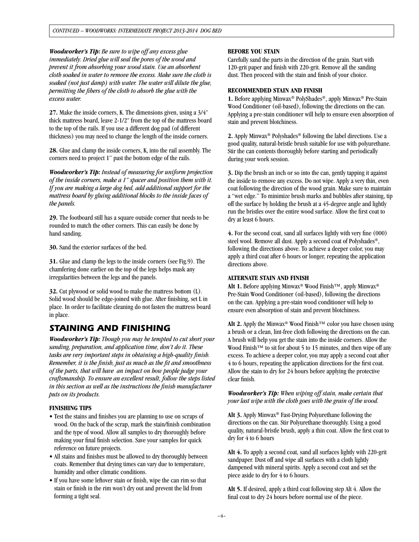*Woodworker's Tip: Be sure to wipe off any excess glue immediately. Dried glue will seal the pores of the wood and prevent it from absorbing your wood stain. Use an absorbent cloth soaked in water to remove the excess. Make sure the cloth is soaked (not just damp) with water. The water will dilute the glue, permitting the fibers of the cloth to absorb the glue with the excess water.* 

**27.** Make the inside corners, K. The dimensions given, using a 3/4" thick mattress board, leave 2-1/2" from the top of the mattress board to the top of the rails. If you use a different dog pad (of different thickness) you may need to change the length of the inside corners.

**28.** Glue and clamp the inside corners, K, into the rail assembly. The corners need to project 1" past the bottom edge of the rails.

*Woodworker's Tip: Instead of measuring for uniform projection of the inside corners, make a 1" spacer and position them with it. If you are making a large dog bed, add additional support for the mattress board by gluing additional blocks to the inside faces of the panels.*

**29.** The footboard still has a square outside corner that needs to be rounded to match the other corners. This can easily be done by hand sanding.

**30.** Sand the exterior surfaces of the bed.

**31.** Glue and clamp the legs to the inside corners (see Fig.9). The chamfering done earlier on the top of the legs helps mask any irregularities between the legs and the panels.

**32.** Cut plywood or solid wood to make the mattress bottom (L). Solid wood should be edge-joined with glue. After finishing, set L in place. In order to facilitate cleaning do not fasten the mattress board in place.

### *STAINING AND FINISHING*

*Woodworker's Tip: Though you may be tempted to cut short your sanding, preparation, and application time, don't do it. These tasks are very important steps in obtaining a high-quality finish. Remember, it is the finish, just as much as the fit and smoothness of the parts, that will have an impact on how people judge your craftsmanship. To ensure an excellent result, follow the steps listed in this section as well as the instructions the finish manufacturer puts on its products.*

#### **FINISHING TIPS**

- Test the stains and finishes you are planning to use on scraps of wood. On the back of the scrap, mark the stain/finish combination and the type of wood. Allow all samples to dry thoroughly before making your final finish selection. Save your samples for quick reference on future projects.
- All stains and finishes must be allowed to dry thoroughly between coats. Remember that drying times can vary due to temperature, humidity and other climatic conditions.
- If you have some leftover stain or finish, wipe the can rim so that stain or finish in the rim won't dry out and prevent the lid from forming a tight seal.

#### **Before you stain**

Carefully sand the parts in the direction of the grain. Start with 120-grit paper and finish with 220-grit. Remove all the sanding dust. Then proceed with the stain and finish of your choice.

#### **RECOMMENDED STAIN AND FINISH**

**1.** Before applying Minwax® PolyShades®, apply Minwax® Pre-Stain Wood Conditioner (oil-based), following the directions on the can. Applying a pre-stain conditioner will help to ensure even absorption of stain and prevent blotchiness.

**2.** Apply Minwax® Polyshades® following the label directions. Use a good quality, natural-bristle brush suitable for use with polyurethane. Stir the can contents thoroughly before starting and periodically during your work session.

**3.** Dip the brush an inch or so into the can, gently tapping it against the inside to remove any excess. Do not wipe. Apply a very thin, even coat following the direction of the wood grain. Make sure to maintain a "wet edge." To minimize brush marks and bubbles after staining, tip off the surface by holding the brush at a 45-degree angle and lightly run the bristles over the entire wood surface. Allow the first coat to dry at least 6 hours.

**4.** For the second coat, sand all surfaces lightly with very fine (000) steel wool. Remove all dust. Apply a second coat of Polyshades®, following the directions above. To achieve a deeper color, you may apply a third coat after 6 hours or longer, repeating the application directions above.

#### **ALTERNATE STAIN AND FINISH**

Alt 1. Before applying Minwax<sup>®</sup> Wood Finish<sup>™</sup>, apply Minwax<sup>®</sup> Pre-Stain Wood Conditioner (oil-based), following the directions on the can. Applying a pre-stain wood conditioner will help to ensure even absorption of stain and prevent blotchiness.

Alt 2. Apply the Minwax® Wood Finish™ color you have chosen using a brush or a clean, lint-free cloth following the directions on the can. A brush will help you get the stain into the inside corners. Allow the Wood Finish™ to sit for about 5 to 15 minutes, and then wipe off any excess. To achieve a deeper color, you may apply a second coat after 4 to 6 hours, repeating the application directions for the first coat. Allow the stain to dry for 24 hours before applying the protective clear finish.

*Woodworker's Tip: When wiping off stain, make certain that your last wipe with the cloth goes with the grain of the wood.*

**Alt 3.** Apply Minwax® Fast-Drying Polyurethane following the directions on the can. Stir Polyurethane thoroughly. Using a good quality, natural-bristle brush, apply a thin coat. Allow the first coat to dry for 4 to 6 hours

**Alt 4.** To apply a second coat, sand all surfaces lightly with 220-grit sandpaper. Dust off and wipe all surfaces with a cloth lightly dampened with mineral spirits. Apply a second coat and set the piece aside to dry for 4 to 6 hours.

**Alt 5.** If desired, apply a third coat following step Alt 4. Allow the final coat to dry 24 hours before normal use of the piece.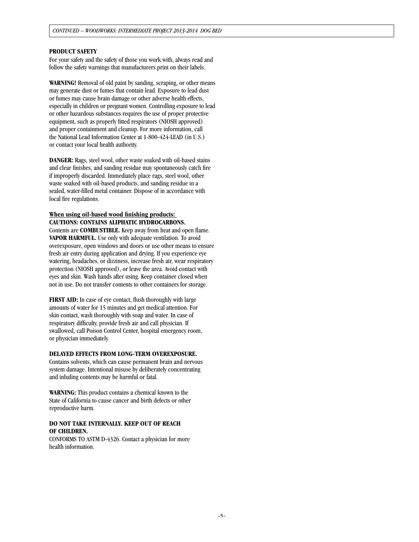#### **PRODUCT SAFETY**

For your safety and the safety of those you work with, always read and follow the safety warnings that manufacturers print on their labels.

**WARNING!** Removal of old paint by sanding, scraping, or other means may generate dust or fumes that contain lead. Exposure to lead dust or fumes may cause brain damage or other adverse health effects, especially in children or pregnant women. Controlling exposure to lead or other hazardous substances requires the use of proper protective equipment, such as properly fitted respirators (NIOSH approved) and proper containment and cleanup. For more information, call the National Lead Information Center at 1-800-424-LEAD (in U.S.) or contact your local health authority.

**DANGER:** Rags, steel wool, other waste soaked with oil-based stains and clear finishes, and sanding residue may spontaneously catch fire if improperly discarded. Immediately place rags, steel wool, other waste soaked with oil-based products, and sanding residue in a sealed, water-filled metal container. Dispose of in accordance with local fire regulations.

#### **When using oil-based wood finishing products: CAUTIONS: CONTAINS ALIPHATIC HYDROCARBONS.**

Contents are **COMBUSTIBLE.** Keep away from heat and open flame. **VAPOR HARMFUL.** Use only with adequate ventilation. To avoid overexposure, open windows and doors or use other means to ensure fresh air entry during application and drying. If you experience eye watering, headaches, or dizziness, increase fresh air, wear respiratory protection (NIOSH approved), or leave the area. Avoid contact with eyes and skin. Wash hands after using. Keep container closed when not in use. Do not transfer contents to other containers for storage.

**FIRST AID:** In case of eye contact, flush thoroughly with large amounts of water for 15 minutes and get medical attention. For skin contact, wash thoroughly with soap and water. In case of respiratory difficulty, provide fresh air and call physician. If swallowed, call Poison Control Center, hospital emergency room, or physician immediately.

#### **DELAYED EFFECTS FROM LONG-TERM OVEREXPOSURE.**

Contains solvents, which can cause permanent brain and nervous system damage. Intentional misuse by deliberately concentrating and inhaling contents may be harmful or fatal.

**WARNING:** This product contains a chemical known to the State of California to cause cancer and birth defects or other reproductive harm.

#### **DO NOT TAKE INTERNALLY. KEEP OUT OF REACH OF CHILDREN.**

CONFORMS TO ASTM D-4326. Contact a physician for more health information.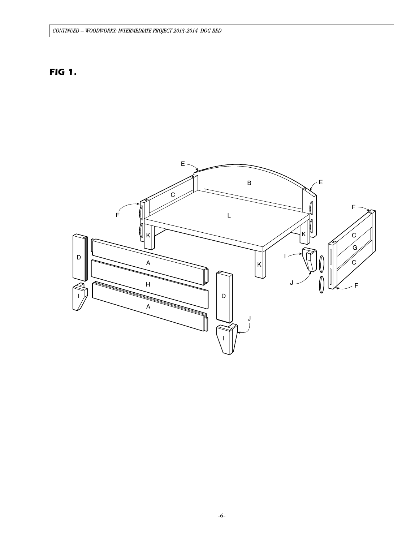### *CONTINUED – WOODWORKS: intermediate project 2013-2014 Dog Bed*

## *FIG 1.*

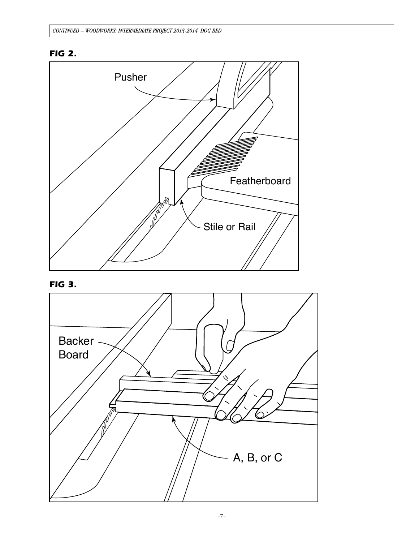





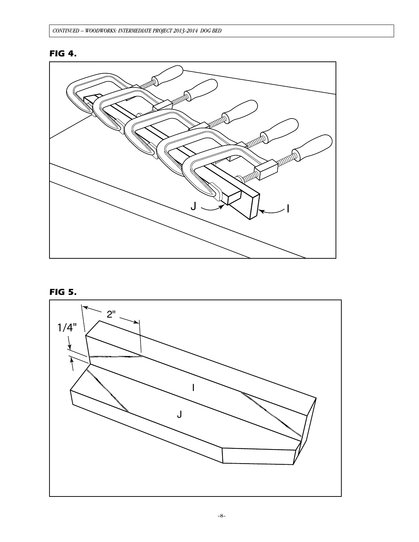## **FIG 4.**



**FIG 5.** 

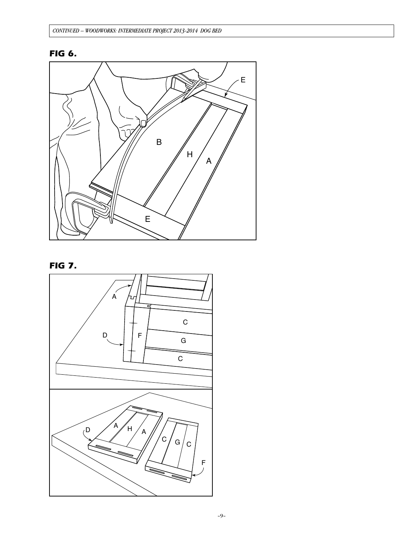# *FIG 6.*